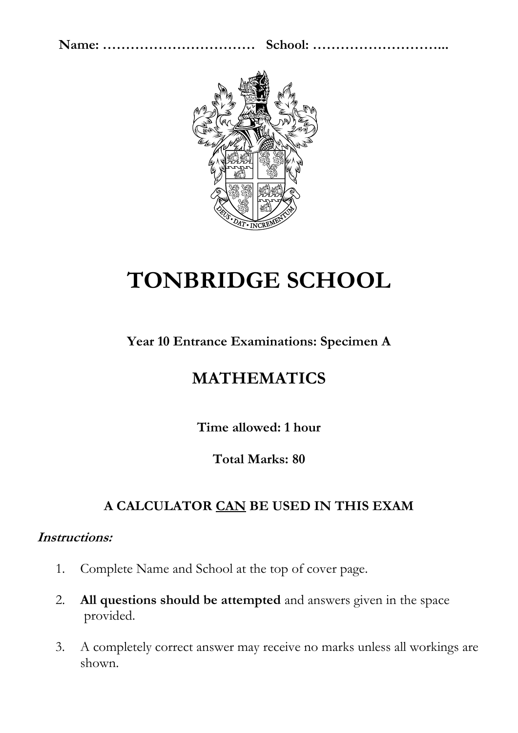

# **TONBRIDGE SCHOOL**

**Year 10 Entrance Examinations: Specimen A**

### **MATHEMATICS**

**Time allowed: 1 hour** 

**Total Marks: 80**

### **A CALCULATOR CAN BE USED IN THIS EXAM**

#### **Instructions:**

- 1. Complete Name and School at the top of cover page.
- 2. **All questions should be attempted** and answers given in the space provided.
- 3. A completely correct answer may receive no marks unless all workings are shown.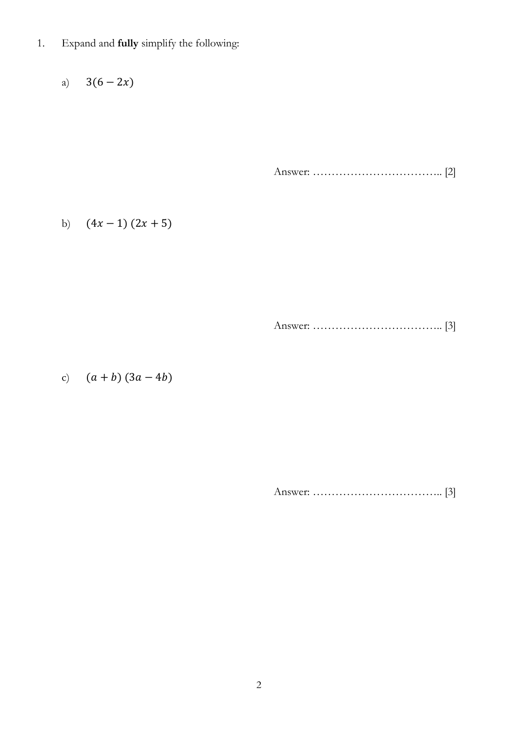1. Expand and **fully** simplify the following:

a)  $3(6 - 2x)$ 

Answer: …………………………….. [2]

b)  $(4x - 1)(2x + 5)$ 

Answer: …………………………….. [3]

c)  $(a + b) (3a - 4b)$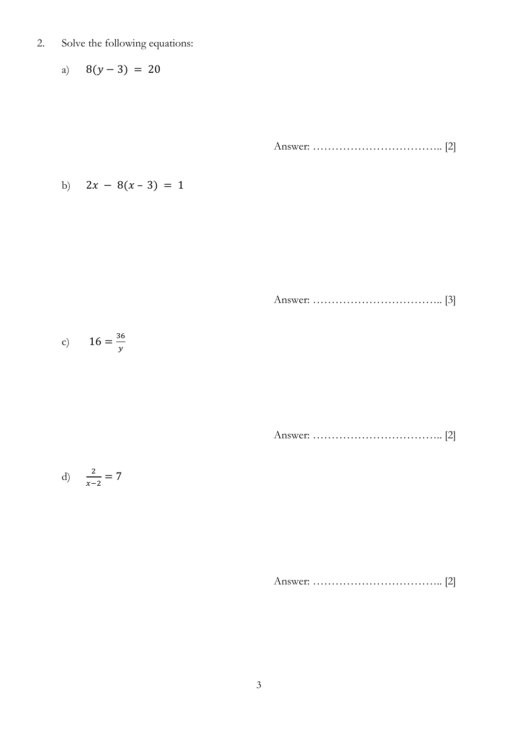- 2. Solve the following equations:
	- a)  $8(y-3) = 20$

Answer: …………………………….. [2]

b) 
$$
2x - 8(x - 3) = 1
$$

Answer: …………………………….. [3]

c) 
$$
16 = \frac{36}{y}
$$

Answer: …………………………….. [2]

$$
d) \quad \frac{2}{x-2} = 7
$$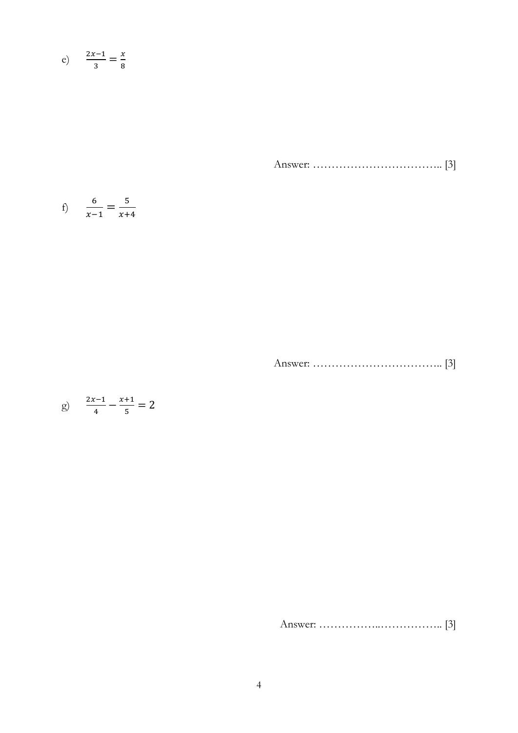$$
e) \qquad \frac{2x-1}{3} = \frac{x}{8}
$$

Answer: …………………………….. [3]

f) 
$$
\frac{6}{x-1} = \frac{5}{x+4}
$$

Answer: …………………………….. [3]

$$
g) \quad \frac{2x-1}{4} - \frac{x+1}{5} = 2
$$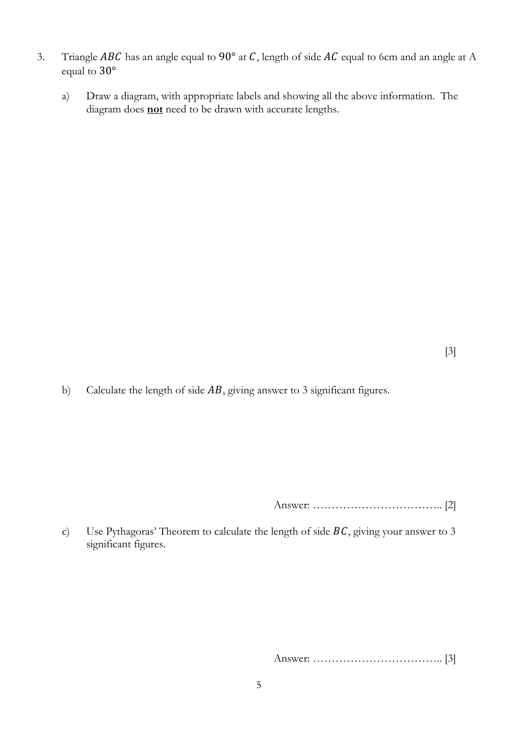- 3. Triangle *ABC* has an angle equal to 90° at *C*, length of side *AC* equal to 6cm and an angle at A equal to 30°
	- a) Draw a diagram, with appropriate labels and showing all the above information. The diagram does **not** need to be drawn with accurate lengths.

b) Calculate the length of side  $AB$ , giving answer to 3 significant figures.

Answer: …………………………….. [2]

c) Use Pythagoras' Theorem to calculate the length of side  $BC$ , giving your answer to 3 significant figures.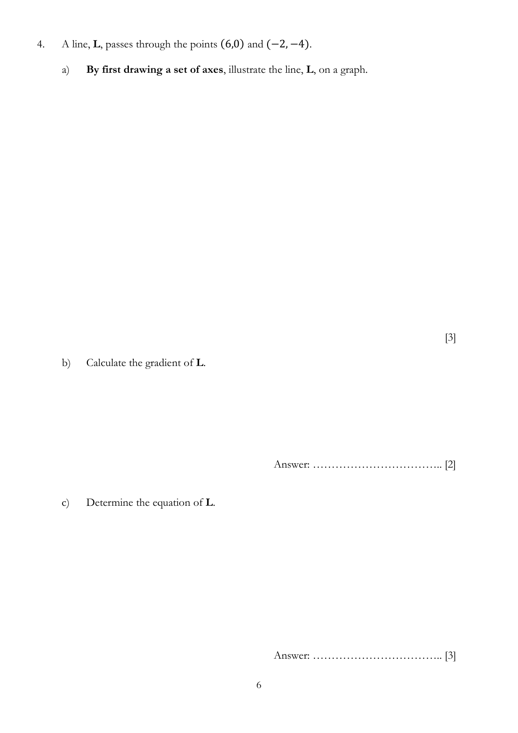- 4. A line, **L**, passes through the points (6,0) and (−2, −4).
	- a) **By first drawing a set of axes**, illustrate the line, **L**, on a graph.

[3]

b) Calculate the gradient of **L**.

Answer: …………………………….. [2]

c) Determine the equation of **L**.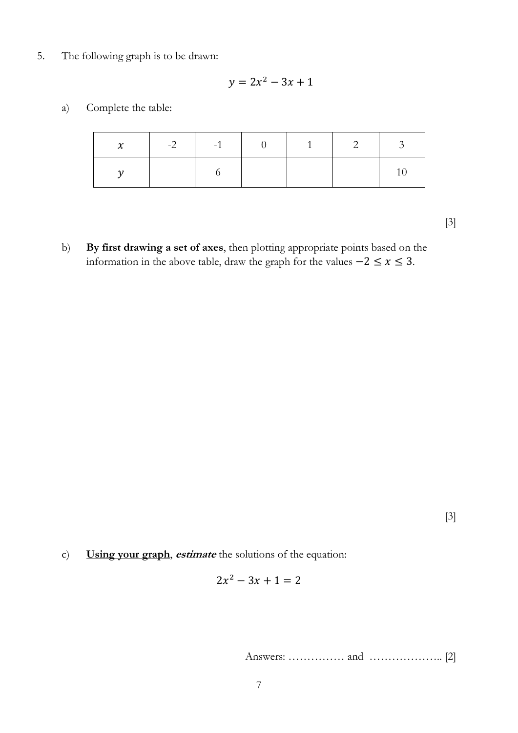5. The following graph is to be drawn:

$$
y = 2x^2 - 3x + 1
$$

a) Complete the table:

| $\mathcal{X}$ | $-2$ $-1$ $-1$ | $\begin{array}{ccc} & 1 & \end{array}$ | 2 | $\mathcal{L}$ |
|---------------|----------------|----------------------------------------|---|---------------|
|               |                |                                        |   |               |

[3]

b) **By first drawing a set of axes**, then plotting appropriate points based on the information in the above table, draw the graph for the values  $-2 \le x \le 3$ .

[3]

c) **Using your graph**, **estimate** the solutions of the equation:

$$
2x^2 - 3x + 1 = 2
$$

Answers: …………… and ……………….. [2]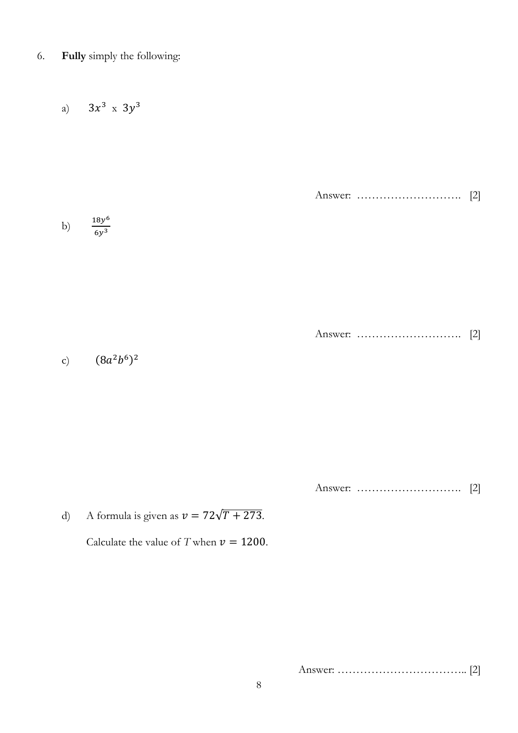6. **Fully** simply the following:

a)  $3x^3$  x  $3y^3$ Answer: ………………………. [2] b) 18 6  $6y^3$ 

Answer: ………………………. [2]

c)  $(8a^2b^6)^2$ 

Answer: ………………………. [2]

d) A formula is given as  $v = 72\sqrt{T + 273}$ . Calculate the value of *T* when  $v = 1200$ .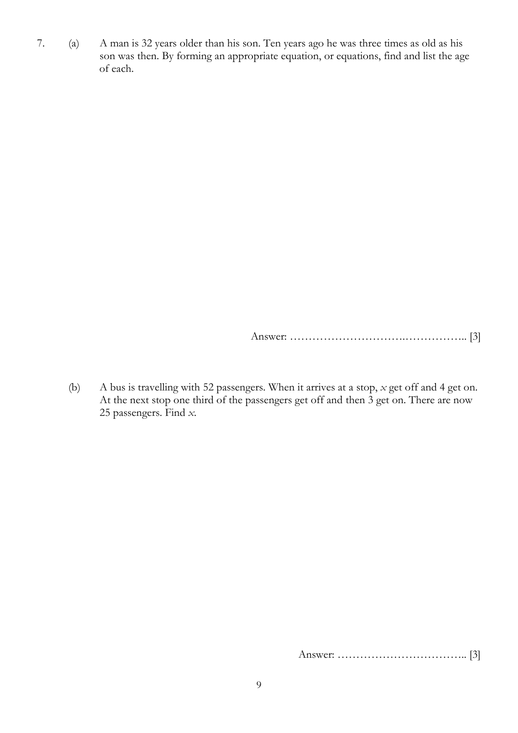7. (a) A man is 32 years older than his son. Ten years ago he was three times as old as his son was then. By forming an appropriate equation, or equations, find and list the age of each.

Answer: ………………………….…………….. [3]

(b) A bus is travelling with 52 passengers. When it arrives at a stop, *x* get off and 4 get on. At the next stop one third of the passengers get off and then 3 get on. There are now 25 passengers. Find *x*.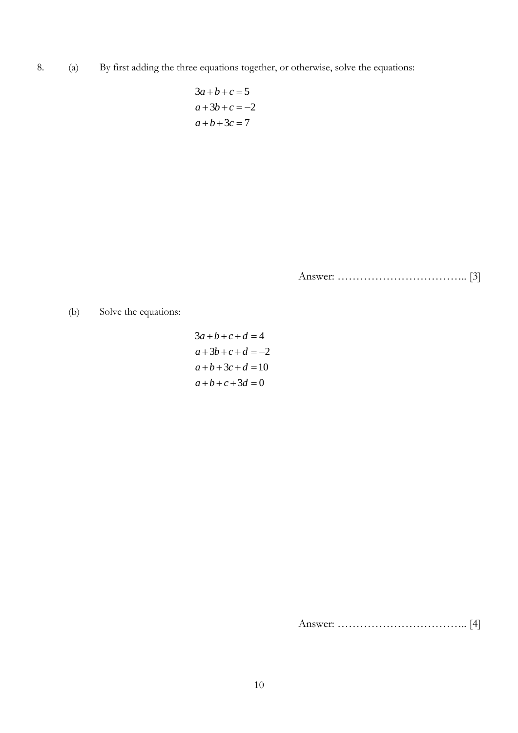8. (a) By first adding the three equations together, or otherwise, solve the equations:

$$
3a+b+c=5
$$
  

$$
a+3b+c=-2
$$
  

$$
a+b+3c=7
$$

Answer: …………………………….. [3]

(b) Solve the equations:

$$
3a+b+c+d = 4
$$
  
\n
$$
a+3b+c+d = -2
$$
  
\n
$$
a+b+3c+d = 10
$$
  
\n
$$
a+b+c+3d = 0
$$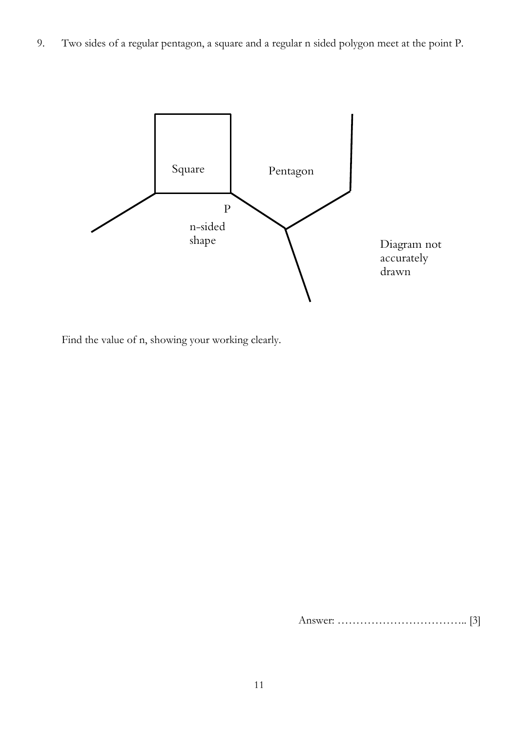9. Two sides of a regular pentagon, a square and a regular n sided polygon meet at the point P.



Find the value of n, showing your working clearly.